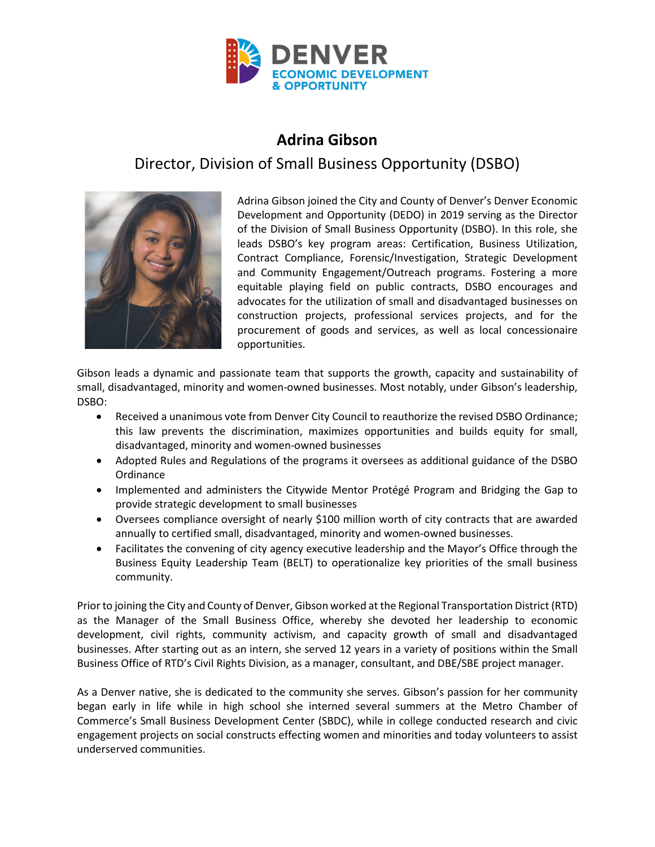

## **Adrina Gibson**

## Director, Division of Small Business Opportunity (DSBO)



Adrina Gibson joined the City and County of Denver's Denver Economic Development and Opportunity (DEDO) in 2019 serving as the Director of the Division of Small Business Opportunity (DSBO). In this role, she leads DSBO's key program areas: Certification, Business Utilization, Contract Compliance, Forensic/Investigation, Strategic Development and Community Engagement/Outreach programs. Fostering a more equitable playing field on public contracts, DSBO encourages and advocates for the utilization of small and disadvantaged businesses on construction projects, professional services projects, and for the procurement of goods and services, as well as local concessionaire opportunities.

Gibson leads a dynamic and passionate team that supports the growth, capacity and sustainability of small, disadvantaged, minority and women-owned businesses. Most notably, under Gibson's leadership, DSBO:

- Received a unanimous vote from Denver City Council to reauthorize the revised DSBO Ordinance; this law prevents the discrimination, maximizes opportunities and builds equity for small, disadvantaged, minority and women-owned businesses
- Adopted Rules and Regulations of the programs it oversees as additional guidance of the DSBO **Ordinance**
- Implemented and administers the Citywide Mentor Protégé Program and Bridging the Gap to provide strategic development to small businesses
- Oversees compliance oversight of nearly \$100 million worth of city contracts that are awarded annually to certified small, disadvantaged, minority and women-owned businesses.
- Facilitates the convening of city agency executive leadership and the Mayor's Office through the Business Equity Leadership Team (BELT) to operationalize key priorities of the small business community.

Prior to joining the City and County of Denver, Gibson worked at the Regional Transportation District (RTD) as the Manager of the Small Business Office, whereby she devoted her leadership to economic development, civil rights, community activism, and capacity growth of small and disadvantaged businesses. After starting out as an intern, she served 12 years in a variety of positions within the Small Business Office of RTD's Civil Rights Division, as a manager, consultant, and DBE/SBE project manager.

As a Denver native, she is dedicated to the community she serves. Gibson's passion for her community began early in life while in high school she interned several summers at the Metro Chamber of Commerce's Small Business Development Center (SBDC), while in college conducted research and civic engagement projects on social constructs effecting women and minorities and today volunteers to assist underserved communities.